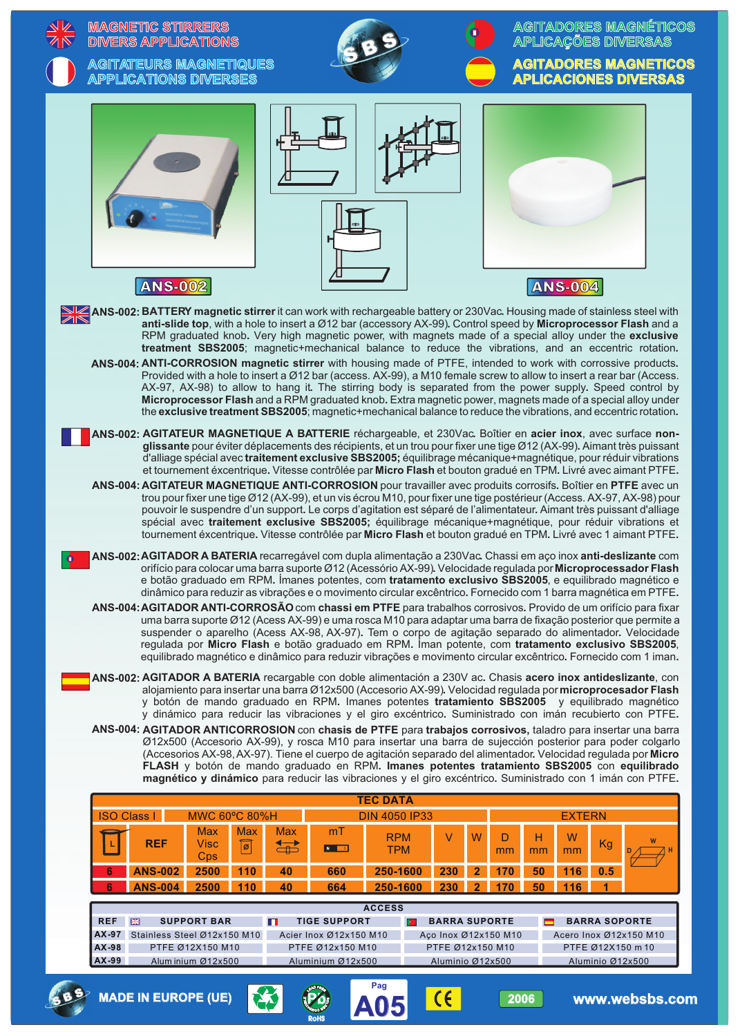|                                                                                                                                                                                                                                                                                                                                                                                                                                                                                                                                                                                                                                                                                 |                                | <b>MAGNETIC STIRRERS</b><br><b>DIVERS APPLICATIONS</b><br><b>AGITATEURS MAGNETIQUES</b><br><b>APPLICATIONS DIVERSES</b> |                                                              |            |                                   |                                                                                        |                                                                                                                                                                                                                                                                                                                                                                                                                                                                                                                                                                                                                                                                                                                                                                                                                                                                                                                                                                                                                                                                                                                                                                                                                                                                                                 |                                                                                      |                                  |            |          |                    |                                                               | AGITADORES MAGNÉTICOS<br><b>APLICAÇÕES DIVERSAS</b><br><b>AGITADORES MAGNETICOS</b><br><b>APLICACIONES DIVERSAS</b> |
|---------------------------------------------------------------------------------------------------------------------------------------------------------------------------------------------------------------------------------------------------------------------------------------------------------------------------------------------------------------------------------------------------------------------------------------------------------------------------------------------------------------------------------------------------------------------------------------------------------------------------------------------------------------------------------|--------------------------------|-------------------------------------------------------------------------------------------------------------------------|--------------------------------------------------------------|------------|-----------------------------------|----------------------------------------------------------------------------------------|-------------------------------------------------------------------------------------------------------------------------------------------------------------------------------------------------------------------------------------------------------------------------------------------------------------------------------------------------------------------------------------------------------------------------------------------------------------------------------------------------------------------------------------------------------------------------------------------------------------------------------------------------------------------------------------------------------------------------------------------------------------------------------------------------------------------------------------------------------------------------------------------------------------------------------------------------------------------------------------------------------------------------------------------------------------------------------------------------------------------------------------------------------------------------------------------------------------------------------------------------------------------------------------------------|--------------------------------------------------------------------------------------|----------------------------------|------------|----------|--------------------|---------------------------------------------------------------|---------------------------------------------------------------------------------------------------------------------|
|                                                                                                                                                                                                                                                                                                                                                                                                                                                                                                                                                                                                                                                                                 |                                | <b>ANS-002</b>                                                                                                          |                                                              |            |                                   |                                                                                        | ANS-002: BATTERY magnetic stirrer it can work with rechargeable battery or 230Vac. Housing made of stainless steel with<br>anti-slide top, with a hole to insert a Ø12 bar (accessory AX-99). Control speed by Microprocessor Flash and a<br>RPM graduated knob. Very high magnetic power, with magnets made of a special alloy under the exclusive<br>treatment SBS2005; magnetic+mechanical balance to reduce the vibrations, and an eccentric rotation.<br>ANS-004: ANTI-CORROSION magnetic stirrer with housing made of PTFE, intended to work with corrossive products.<br>Provided with a hole to insert a Ø12 bar (access. AX-99), a M10 female screw to allow to insert a rear bar (Access.<br>AX-97, AX-98) to allow to hang it. The stirring body is separated from the power supply. Speed control by                                                                                                                                                                                                                                                                                                                                                                                                                                                                                |                                                                                      |                                  |            |          | <b>ANS-004</b>     |                                                               |                                                                                                                     |
|                                                                                                                                                                                                                                                                                                                                                                                                                                                                                                                                                                                                                                                                                 |                                |                                                                                                                         |                                                              |            |                                   |                                                                                        | Microprocessor Flash and a RPM graduated knob. Extra magnetic power, magnets made of a special alloy under<br>the exclusive treatment SBS2005; magnetic+mechanical balance to reduce the vibrations, and eccentric rotation.<br>ANS-002: AGITATEUR MAGNETIQUE A BATTERIE réchargeable, et 230Vac. Boîtier en acier inox, avec surface non-<br>glissante pour éviter déplacements des récipients, et un trou pour fixer une tige Ø12 (AX-99). Aimant très puissant<br>d'alliage spécial avec traitement exclusive SBS2005; équilibrage mécanique+magnétique, pour réduir vibrations<br>et tournement éxcentrique. Vitesse contrôlée par Micro Flash et bouton gradué en TPM. Livré avec aimant PTFE.<br>ANS-004: AGITATEUR MAGNETIQUE ANTI-CORROSION pour travailler avec produits corrosifs. Boîtier en PTFE avec un<br>trou pour fixer une tige Ø12 (AX-99), et un vis écrou M10, pour fixer une tige postérieur (Access. AX-97, AX-98) pour<br>pouvoir le suspendre d'un support. Le corps d'agitation est séparé de l'alimentateur. Aimant très puissant d'alliage<br>spécial avec traitement exclusive SBS2005; équilibrage mécanique+magnétique, pour réduir vibrations et<br>tournement éxcentrique. Vitesse contrôlée par Micro Flash et bouton gradué en TPM. Livré avec 1 aimant PTFE. |                                                                                      |                                  |            |          |                    |                                                               |                                                                                                                     |
| <b>o</b>                                                                                                                                                                                                                                                                                                                                                                                                                                                                                                                                                                                                                                                                        |                                |                                                                                                                         |                                                              |            |                                   |                                                                                        | ANS-002: AGITADOR A BATERIA recarregável com dupla alimentação a 230Vac. Chassi em aço inox anti-deslizante com<br>orifício para colocar uma barra suporte Ø12 (Acessório AX-99). Velocidade regulada por Microprocessador Flash<br>e botão graduado em RPM. Ímanes potentes, com tratamento exclusivo SBS2005, e equilibrado magnético e<br>dinâmico para reduzir as vibrações e o movimento circular excêntrico. Fornecido com 1 barra magnética em PTFE.<br>ANS-004: AGITADOR ANTI-CORROSÃO com chassi em PTFE para trabalhos corrosivos. Provido de um orifício para fixar                                                                                                                                                                                                                                                                                                                                                                                                                                                                                                                                                                                                                                                                                                                  |                                                                                      |                                  |            |          |                    |                                                               |                                                                                                                     |
| uma barra suporte Ø12 (Acess AX-99) e uma rosca M10 para adaptar uma barra de fixação posterior que permite a<br>suspender o aparelho (Acess AX-98, AX-97). Tem o corpo de agitação separado do alimentador. Velocidade<br>regulada por Micro Flash e botão graduado em RPM. Íman potente, com tratamento exclusivo SBS2005,<br>equilibrado magnético e dinâmico para reduzir vibrações e movimento circular excêntrico. Fornecido com 1 iman.<br>ANS-002: AGITADOR A BATERIA recargable con doble alimentación a 230V ac. Chasis acero inox antideslizante, con<br>alojamiento para insertar una barra Ø12x500 (Accesorio AX-99). Velocidad regulada por microprocesador Flash |                                |                                                                                                                         |                                                              |            |                                   |                                                                                        |                                                                                                                                                                                                                                                                                                                                                                                                                                                                                                                                                                                                                                                                                                                                                                                                                                                                                                                                                                                                                                                                                                                                                                                                                                                                                                 |                                                                                      |                                  |            |          |                    |                                                               |                                                                                                                     |
| y botón de mando graduado en RPM. Imanes potentes tratamiento SBS2005 y equilibrado magnético<br>y dinámico para reducir las vibraciones y el giro excéntrico. Suministrado con imán recubierto con PTFE.                                                                                                                                                                                                                                                                                                                                                                                                                                                                       |                                |                                                                                                                         |                                                              |            |                                   |                                                                                        |                                                                                                                                                                                                                                                                                                                                                                                                                                                                                                                                                                                                                                                                                                                                                                                                                                                                                                                                                                                                                                                                                                                                                                                                                                                                                                 |                                                                                      |                                  |            |          |                    |                                                               |                                                                                                                     |
| ANS-004: AGITADOR ANTICORROSION con chasis de PTFE para trabajos corrosivos, taladro para insertar una barra<br>Ø12x500 (Accesorio AX-99), y rosca M10 para insertar una barra de sujección posterior para poder colgarlo<br>(Accesorios AX-98, AX-97). Tiene el cuerpo de agitación separado del alimentador. Velocidad regulada por Micro<br>FLASH y botón de mando graduado en RPM. Imanes potentes tratamiento SBS2005 con equilibrado<br>magnético y dinámico para reducir las vibraciones y el giro excéntrico. Suministrado con 1 imán con PTFE.                                                                                                                         |                                |                                                                                                                         |                                                              |            |                                   |                                                                                        |                                                                                                                                                                                                                                                                                                                                                                                                                                                                                                                                                                                                                                                                                                                                                                                                                                                                                                                                                                                                                                                                                                                                                                                                                                                                                                 |                                                                                      |                                  |            |          |                    |                                                               |                                                                                                                     |
|                                                                                                                                                                                                                                                                                                                                                                                                                                                                                                                                                                                                                                                                                 |                                |                                                                                                                         |                                                              |            |                                   |                                                                                        | <b>TEC DATA</b>                                                                                                                                                                                                                                                                                                                                                                                                                                                                                                                                                                                                                                                                                                                                                                                                                                                                                                                                                                                                                                                                                                                                                                                                                                                                                 |                                                                                      |                                  |            |          |                    |                                                               |                                                                                                                     |
|                                                                                                                                                                                                                                                                                                                                                                                                                                                                                                                                                                                                                                                                                 |                                | <b>ISO Class I</b>                                                                                                      | <b>MWC 60°C 80%H</b><br><b>Max</b>                           | <b>Max</b> | <b>Max</b>                        | mT                                                                                     | <b>DIN 4050 IP33</b><br><b>RPM</b>                                                                                                                                                                                                                                                                                                                                                                                                                                                                                                                                                                                                                                                                                                                                                                                                                                                                                                                                                                                                                                                                                                                                                                                                                                                              | V                                                                                    | W                                |            | н        | <b>EXTERN</b><br>W |                                                               |                                                                                                                     |
|                                                                                                                                                                                                                                                                                                                                                                                                                                                                                                                                                                                                                                                                                 |                                | <b>REF</b>                                                                                                              | <b>Visc</b><br>Cps                                           | बि         | $\overleftrightarrow{\textbf{F}}$ | N S                                                                                    | <b>TPM</b>                                                                                                                                                                                                                                                                                                                                                                                                                                                                                                                                                                                                                                                                                                                                                                                                                                                                                                                                                                                                                                                                                                                                                                                                                                                                                      |                                                                                      |                                  | D<br>mm    | mm       | mm                 | Kg                                                            |                                                                                                                     |
|                                                                                                                                                                                                                                                                                                                                                                                                                                                                                                                                                                                                                                                                                 | 6<br>6                         | <b>ANS-002</b><br><b>ANS-004</b>                                                                                        | 2500<br>2500                                                 | 110<br>110 | 40<br>40                          | 660<br>664                                                                             | 250-1600<br>250-1600                                                                                                                                                                                                                                                                                                                                                                                                                                                                                                                                                                                                                                                                                                                                                                                                                                                                                                                                                                                                                                                                                                                                                                                                                                                                            | 230<br>230                                                                           | $\overline{2}$<br>$\overline{2}$ | 170<br>170 | 50<br>50 | 116<br>116         | 0.5<br>1                                                      |                                                                                                                     |
|                                                                                                                                                                                                                                                                                                                                                                                                                                                                                                                                                                                                                                                                                 | <b>REF</b><br>$AX-98$<br>AX-99 | 噩<br>AX-97 Stainless Steel Ø12x150 M10                                                                                  | <b>SUPPORT BAR</b><br>PTFE Ø12X150 M10<br>Alum inium Ø12x500 |            |                                   | <b>TIGE SUPPORT</b><br>Acier Inox Ø12x150 M10<br>PTFE Ø12x150 M10<br>Aluminium Ø12x500 | <b>ACCESS</b>                                                                                                                                                                                                                                                                                                                                                                                                                                                                                                                                                                                                                                                                                                                                                                                                                                                                                                                                                                                                                                                                                                                                                                                                                                                                                   | <b>BARRA SUPORTE</b><br>Aço Inox Ø12x150 M10<br>PTFE Ø12x150 M10<br>Aluminio Ø12x500 |                                  |            |          |                    | <b>BARRA SOPORTE</b><br>PTFE Ø12X150 m 10<br>Aluminio Ø12x500 | Acero Inox Ø12x150 M10                                                                                              |
|                                                                                                                                                                                                                                                                                                                                                                                                                                                                                                                                                                                                                                                                                 |                                | <b>MADE IN EUROPE (UE)</b>                                                                                              |                                                              |            |                                   |                                                                                        | Pag                                                                                                                                                                                                                                                                                                                                                                                                                                                                                                                                                                                                                                                                                                                                                                                                                                                                                                                                                                                                                                                                                                                                                                                                                                                                                             | $\epsilon$                                                                           |                                  | 2006       |          |                    |                                                               | www.websbs.com                                                                                                      |

**A05**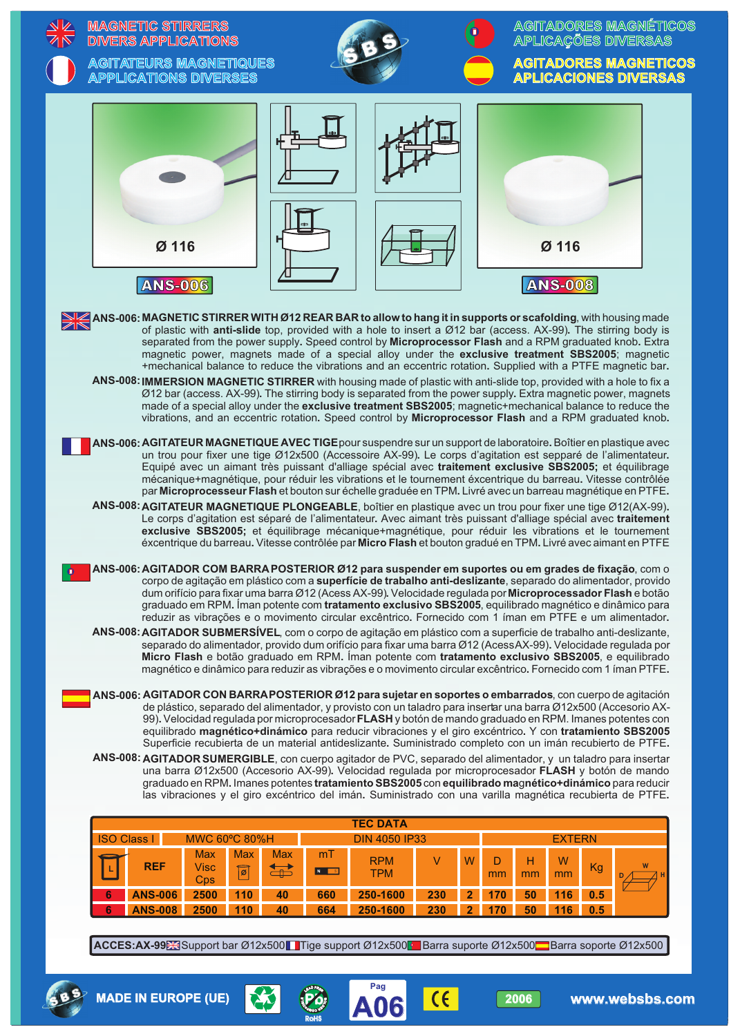|                                                                                                                                                                                                                                                                                                                                                                                                                                                                                                                                                                   | Ø 116<br><b>ANS-006</b><br>ANS-006: MAGNETIC STIRRER WITH Ø12 REAR BAR to allow to hang it in supports or scafolding, with housing made<br>of plastic with anti-slide top, provided with a hole to insert a Ø12 bar (access. AX-99). The stirring body is<br>separated from the power supply. Speed control by Microprocessor Flash and a RPM graduated knob. Extra<br>magnetic power, magnets made of a special alloy under the exclusive treatment SBS2005; magnetic<br>+mechanical balance to reduce the vibrations and an eccentric rotation. Supplied with a PTFE magnetic bar.                                                                                                                                                                                                      |                                                     |                                    |            |                                                  |            |                     |            |          | Ø 116<br><b>ANS-008</b>  |            |  |
|-------------------------------------------------------------------------------------------------------------------------------------------------------------------------------------------------------------------------------------------------------------------------------------------------------------------------------------------------------------------------------------------------------------------------------------------------------------------------------------------------------------------------------------------------------------------|-------------------------------------------------------------------------------------------------------------------------------------------------------------------------------------------------------------------------------------------------------------------------------------------------------------------------------------------------------------------------------------------------------------------------------------------------------------------------------------------------------------------------------------------------------------------------------------------------------------------------------------------------------------------------------------------------------------------------------------------------------------------------------------------|-----------------------------------------------------|------------------------------------|------------|--------------------------------------------------|------------|---------------------|------------|----------|--------------------------|------------|--|
|                                                                                                                                                                                                                                                                                                                                                                                                                                                                                                                                                                   |                                                                                                                                                                                                                                                                                                                                                                                                                                                                                                                                                                                                                                                                                                                                                                                           |                                                     |                                    |            |                                                  |            |                     |            |          |                          |            |  |
|                                                                                                                                                                                                                                                                                                                                                                                                                                                                                                                                                                   |                                                                                                                                                                                                                                                                                                                                                                                                                                                                                                                                                                                                                                                                                                                                                                                           |                                                     |                                    |            |                                                  |            |                     |            |          |                          |            |  |
| ANS-008: IMMERSION MAGNETIC STIRRER with housing made of plastic with anti-slide top, provided with a hole to fix a<br>Ø12 bar (access. AX-99). The stirring body is separated from the power supply. Extra magnetic power, magnets<br>made of a special alloy under the exclusive treatment SBS2005; magnetic+mechanical balance to reduce the<br>vibrations, and an eccentric rotation. Speed control by Microprocessor Flash and a RPM graduated knob.                                                                                                         |                                                                                                                                                                                                                                                                                                                                                                                                                                                                                                                                                                                                                                                                                                                                                                                           |                                                     |                                    |            |                                                  |            |                     |            |          |                          |            |  |
| ANS-006: AGITATEUR MAGNETIQUE AVEC TIGE pour suspendre sur un support de laboratoire. Boîtier en plastique avec<br>un trou pour fixer une tige Ø12x500 (Accessoire AX-99). Le corps d'agitation est sepparé de l'alimentateur.<br>Equipé avec un aimant très puissant d'alliage spécial avec traitement exclusive SBS2005; et équilibrage<br>mécanique+magnétique, pour réduir les vibrations et le tournement éxcentrique du barreau. Vitesse contrôlée                                                                                                          |                                                                                                                                                                                                                                                                                                                                                                                                                                                                                                                                                                                                                                                                                                                                                                                           |                                                     |                                    |            |                                                  |            |                     |            |          |                          |            |  |
| par Microprocesseur Flash et bouton sur échelle graduée en TPM. Livré avec un barreau magnétique en PTFE.<br>ANS-008: AGITATEUR MAGNETIQUE PLONGEABLE, boîtier en plastique avec un trou pour fixer une tige Ø12(AX-99).<br>Le corps d'agitation est séparé de l'alimentateur. Avec aimant très puissant d'alliage spécial avec traitement<br>exclusive SBS2005; et équilibrage mécanique+magnétique, pour réduir les vibrations et le tournement<br>éxcentrique du barreau. Vitesse contrôlée par Micro Flash et bouton gradué en TPM. Livré avec aimant en PTFE |                                                                                                                                                                                                                                                                                                                                                                                                                                                                                                                                                                                                                                                                                                                                                                                           |                                                     |                                    |            |                                                  |            |                     |            |          |                          |            |  |
|                                                                                                                                                                                                                                                                                                                                                                                                                                                                                                                                                                   | ANS-006: AGITADOR COM BARRA POSTERIOR Ø12 para suspender em suportes ou em grades de fixação, com o<br>corpo de agitação em plástico com a superfície de trabalho anti-deslizante, separado do alimentador, provido<br>dum orifício para fixar uma barra Ø12 (Acess AX-99). Velocidade regulada por Microprocessador Flash e botão<br>graduado em RPM. Íman potente com tratamento exclusivo SBS2005, equilibrado magnético e dinâmico para<br>reduzir as vibrações e o movimento circular excêntrico. Fornecido com 1 íman em PTFE e um alimentador.<br>ANS-008: AGITADOR SUBMERSÍVEL, com o corpo de agitação em plástico com a superficie de trabalho anti-deslizante,<br>separado do alimentador, provido dum orifício para fixar uma barra Ø12 (AcessAX-99). Velocidade regulada por |                                                     |                                    |            |                                                  |            |                     |            |          |                          |            |  |
|                                                                                                                                                                                                                                                                                                                                                                                                                                                                                                                                                                   | Micro Flash e botão graduado em RPM. Íman potente com tratamento exclusivo SBS2005, e equilibrado<br>magnético e dinâmico para reduzir as vibrações e o movimento circular excêntrico. Fornecido com 1 íman PTFE.                                                                                                                                                                                                                                                                                                                                                                                                                                                                                                                                                                         |                                                     |                                    |            |                                                  |            |                     |            |          |                          |            |  |
|                                                                                                                                                                                                                                                                                                                                                                                                                                                                                                                                                                   | ANS-006: AGITADOR CON BARRAPOSTERIOR Ø12 para sujetar en soportes o embarrados, con cuerpo de agitación<br>de plástico, separado del alimentador, y provisto con un taladro para insertar una barra Ø12x500 (Accesorio AX-<br>99). Velocidad regulada por microprocesador FLASH y botón de mando graduado en RPM. Imanes potentes con<br>equilibrado magnético+dinámico para reducir vibraciones y el giro excéntrico. Y con tratamiento SBS2005<br>Superficie recubierta de un material antideslizante. Suministrado completo con un imán recubierto de PTFE.                                                                                                                                                                                                                            |                                                     |                                    |            |                                                  |            |                     |            |          |                          |            |  |
|                                                                                                                                                                                                                                                                                                                                                                                                                                                                                                                                                                   | ANS-008: AGITADOR SUMERGIBLE, con cuerpo agitador de PVC, separado del alimentador, y un taladro para insertar<br>una barra Ø12x500 (Accesorio AX-99). Velocidad regulada por microprocesador FLASH y botón de mando<br>graduado en RPM. Imanes potentes tratamiento SBS2005 con equilibrado magnético+dinámico para reducir<br>las vibraciones y el giro excéntrico del imán. Suministrado con una varilla magnética recubierta de PTFE.                                                                                                                                                                                                                                                                                                                                                 |                                                     |                                    |            |                                                  |            |                     |            |          |                          |            |  |
|                                                                                                                                                                                                                                                                                                                                                                                                                                                                                                                                                                   |                                                                                                                                                                                                                                                                                                                                                                                                                                                                                                                                                                                                                                                                                                                                                                                           |                                                     |                                    |            | <b>TEC DATA</b>                                  |            |                     |            |          |                          |            |  |
| <b>ISO Class I</b>                                                                                                                                                                                                                                                                                                                                                                                                                                                                                                                                                | <b>Max</b><br><b>REF</b><br><b>Visc</b><br>Cps                                                                                                                                                                                                                                                                                                                                                                                                                                                                                                                                                                                                                                                                                                                                            | MWC 60°C 80%H<br><b>Max</b><br>$\boxed{\mathbf{z}}$ | <b>Max</b><br>$\overrightarrow{d}$ | mT<br>N S  | <b>DIN 4050 IP33</b><br><b>RPM</b><br><b>TPM</b> | $\vee$     | W                   | D<br>mm    | н<br>mm  | <b>EXTERN</b><br>W<br>mm | Kg         |  |
| 6<br>6                                                                                                                                                                                                                                                                                                                                                                                                                                                                                                                                                            | <b>ANS-006</b><br>2500<br><b>ANS-008</b><br>2500                                                                                                                                                                                                                                                                                                                                                                                                                                                                                                                                                                                                                                                                                                                                          | 110<br>110                                          | 40<br>40                           | 660<br>664 | 250-1600<br>250-1600                             | 230<br>230 | 2<br>$\overline{2}$ | 170<br>170 | 50<br>50 | 116<br>116               | 0.5<br>0.5 |  |
|                                                                                                                                                                                                                                                                                                                                                                                                                                                                                                                                                                   | ACCES:AX-99 Support bar Ø12x500 Tige support Ø12x500 Barra suporte Ø12x500 Barra soporte Ø12x500                                                                                                                                                                                                                                                                                                                                                                                                                                                                                                                                                                                                                                                                                          |                                                     |                                    |            |                                                  |            |                     |            |          |                          |            |  |
|                                                                                                                                                                                                                                                                                                                                                                                                                                                                                                                                                                   |                                                                                                                                                                                                                                                                                                                                                                                                                                                                                                                                                                                                                                                                                                                                                                                           |                                                     |                                    |            |                                                  |            |                     |            |          |                          |            |  |

**A06 Pag**



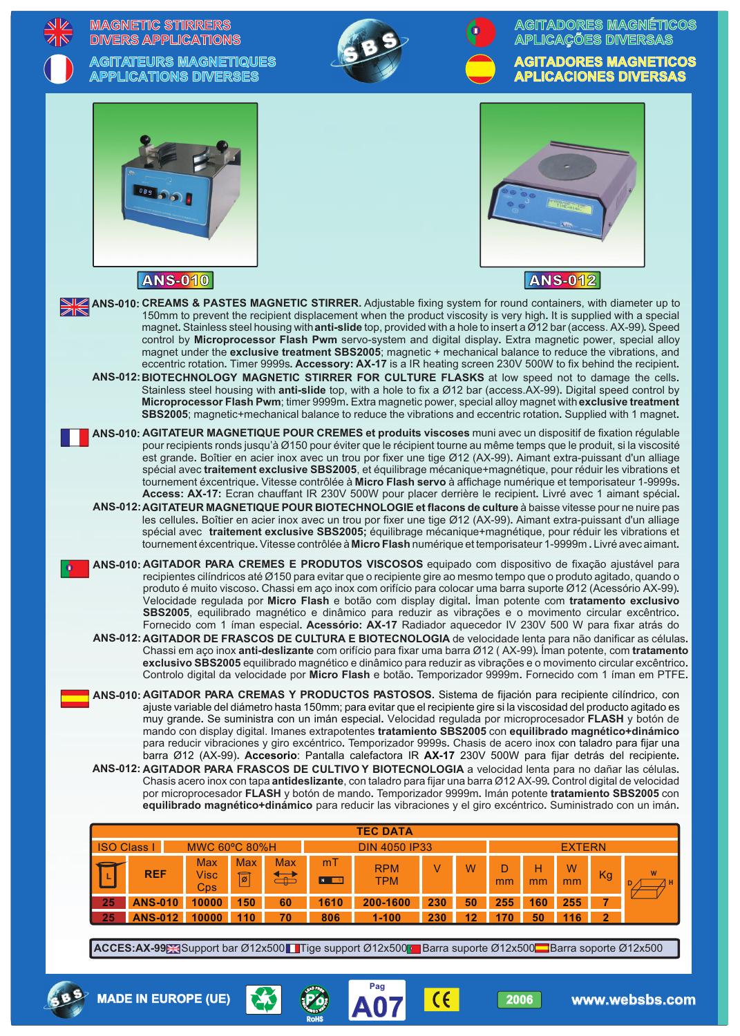|                                                                                                                                                                                                                                                                                                                                                                                                                                                                                                                                                                                                                                                                                                                                                                                                                                                                                                                                                                                                                                                                                                                                             | <b>MAGNETIC STIRRERS</b><br><b>DIVERS APPLICATIONS</b>                                                                                                                                                                                                                                                                                                                                                                                                                                                                                                                                                                                                                                                                                                                                                                                                                                                                                                                                                                                                          |                                               |                    |                                     |            |          |                  |                 |                    |                                        | <b>AGITADORES MAGNÉTICOS</b><br><b>APLICAÇÕES DIVERSAS</b>   |  |  |
|---------------------------------------------------------------------------------------------------------------------------------------------------------------------------------------------------------------------------------------------------------------------------------------------------------------------------------------------------------------------------------------------------------------------------------------------------------------------------------------------------------------------------------------------------------------------------------------------------------------------------------------------------------------------------------------------------------------------------------------------------------------------------------------------------------------------------------------------------------------------------------------------------------------------------------------------------------------------------------------------------------------------------------------------------------------------------------------------------------------------------------------------|-----------------------------------------------------------------------------------------------------------------------------------------------------------------------------------------------------------------------------------------------------------------------------------------------------------------------------------------------------------------------------------------------------------------------------------------------------------------------------------------------------------------------------------------------------------------------------------------------------------------------------------------------------------------------------------------------------------------------------------------------------------------------------------------------------------------------------------------------------------------------------------------------------------------------------------------------------------------------------------------------------------------------------------------------------------------|-----------------------------------------------|--------------------|-------------------------------------|------------|----------|------------------|-----------------|--------------------|----------------------------------------|--------------------------------------------------------------|--|--|
|                                                                                                                                                                                                                                                                                                                                                                                                                                                                                                                                                                                                                                                                                                                                                                                                                                                                                                                                                                                                                                                                                                                                             | <b>AGITATEURS MAGNETIQUES</b><br><b>APPLICATIONS DIVERSES</b>                                                                                                                                                                                                                                                                                                                                                                                                                                                                                                                                                                                                                                                                                                                                                                                                                                                                                                                                                                                                   |                                               |                    |                                     |            |          |                  |                 |                    |                                        | <b>AGITADORES MAGNETICOS</b><br><b>APLICACIONES DIVERSAS</b> |  |  |
|                                                                                                                                                                                                                                                                                                                                                                                                                                                                                                                                                                                                                                                                                                                                                                                                                                                                                                                                                                                                                                                                                                                                             |                                                                                                                                                                                                                                                                                                                                                                                                                                                                                                                                                                                                                                                                                                                                                                                                                                                                                                                                                                                                                                                                 |                                               |                    |                                     |            |          |                  |                 |                    |                                        |                                                              |  |  |
|                                                                                                                                                                                                                                                                                                                                                                                                                                                                                                                                                                                                                                                                                                                                                                                                                                                                                                                                                                                                                                                                                                                                             | <b>ANS-010</b>                                                                                                                                                                                                                                                                                                                                                                                                                                                                                                                                                                                                                                                                                                                                                                                                                                                                                                                                                                                                                                                  |                                               |                    |                                     |            |          |                  |                 | <b>ANS-012</b>     |                                        |                                                              |  |  |
|                                                                                                                                                                                                                                                                                                                                                                                                                                                                                                                                                                                                                                                                                                                                                                                                                                                                                                                                                                                                                                                                                                                                             | ANS-010: CREAMS & PASTES MAGNETIC STIRRER. Adjustable fixing system for round containers, with diameter up to<br>150mm to prevent the recipient displacement when the product viscosity is very high. It is supplied with a special<br>magnet. Stainless steel housing with anti-slide top, provided with a hole to insert a Ø12 bar (access. AX-99). Speed<br>control by Microprocessor Flash Pwm servo-system and digital display. Extra magnetic power, special alloy<br>magnet under the exclusive treatment SBS2005; magnetic + mechanical balance to reduce the vibrations, and<br>eccentric rotation. Timer 9999s. Accessory: AX-17 is a IR heating screen 230V 500W to fix behind the recipient.<br>ANS-012: BIOTECHNOLOGY MAGNETIC STIRRER FOR CULTURE FLASKS at low speed not to damage the cells.<br>Stainless steel housing with anti-slide top, with a hole to fix a Ø12 bar (access.AX-99). Digital speed control by<br>Microprocessor Flash Pwm; timer 9999m. Extra magnetic power, special alloy magnet with exclusive treatment                |                                               |                    |                                     |            |          |                  |                 |                    |                                        |                                                              |  |  |
|                                                                                                                                                                                                                                                                                                                                                                                                                                                                                                                                                                                                                                                                                                                                                                                                                                                                                                                                                                                                                                                                                                                                             | SBS2005; magnetic+mechanical balance to reduce the vibrations and eccentric rotation. Supplied with 1 magnet.<br>ANS-010: AGITATEUR MAGNETIQUE POUR CREMES et produits viscoses muni avec un dispositif de fixation régulable                                                                                                                                                                                                                                                                                                                                                                                                                                                                                                                                                                                                                                                                                                                                                                                                                                   |                                               |                    |                                     |            |          |                  |                 |                    |                                        |                                                              |  |  |
|                                                                                                                                                                                                                                                                                                                                                                                                                                                                                                                                                                                                                                                                                                                                                                                                                                                                                                                                                                                                                                                                                                                                             | pour recipients ronds jusqu'à Ø150 pour éviter que le récipient tourne au même temps que le produit, si la viscosité<br>est grande. Boîtier en acier inox avec un trou por fixer une tige Ø12 (AX-99). Aimant extra-puissant d'un alliage<br>spécial avec traitement exclusive SBS2005, et équilibrage mécanique+magnétique, pour réduir les vibrations et<br>tournement éxcentrique. Vitesse contrôlée à Micro Flash servo à affichage numérique et temporisateur 1-9999s.<br>Access: AX-17: Ecran chauffant IR 230V 500W pour placer derrière le recipient. Livré avec 1 aimant spécial.<br>ANS-012: AGITATEUR MAGNETIQUE POUR BIOTECHNOLOGIE et flacons de culture à baisse vitesse pour ne nuire pas<br>les cellules. Boîtier en acier inox avec un trou por fixer une tige Ø12 (AX-99). Aimant extra-puissant d'un alliage<br>spécial avec traitement exclusive SBS2005; équilibrage mécanique+magnétique, pour réduir les vibrations et<br>tournement éxcentrique. Vitesse contrôlée à Micro Flash numérique et temporisateur 1-9999m. Livré avec aimant. |                                               |                    |                                     |            |          |                  |                 |                    |                                        |                                                              |  |  |
|                                                                                                                                                                                                                                                                                                                                                                                                                                                                                                                                                                                                                                                                                                                                                                                                                                                                                                                                                                                                                                                                                                                                             | ANS-010: AGITADOR PARA CREMES E PRODUTOS VISCOSOS equipado com dispositivo de fixação ajustável para<br>recipientes cilíndricos até Ø150 para evitar que o recipiente gire ao mesmo tempo que o produto agitado, quando o<br>produto é muito viscoso. Chassi em aço inox com orifício para colocar uma barra suporte Ø12 (Acessório AX-99).<br>Velocidade regulada por Micro Flash e botão com display digital. Íman potente com tratamento exclusivo<br>SBS2005, equilibrado magnético e dinâmico para reduzir as vibrações e o movimento circular excêntrico.<br>Fornecido com 1 íman especial. Acessório: AX-17 Radiador aquecedor IV 230V 500 W para fixar atrás do                                                                                                                                                                                                                                                                                                                                                                                         |                                               |                    |                                     |            |          |                  |                 |                    |                                        |                                                              |  |  |
|                                                                                                                                                                                                                                                                                                                                                                                                                                                                                                                                                                                                                                                                                                                                                                                                                                                                                                                                                                                                                                                                                                                                             | ANS-012: AGITADOR DE FRASCOS DE CULTURA E BIOTECNOLOGIA de velocidade lenta para não danificar as células.<br>Chassi em aço inox anti-deslizante com orifício para fixar uma barra Ø12 (AX-99). Íman potente, com tratamento<br>exclusivo SBS2005 equilibrado magnético e dinâmico para reduzir as vibrações e o movimento circular excêntrico.<br>Controlo digital da velocidade por Micro Flash e botão. Temporizador 9999m. Fornecido com 1 íman em PTFE.                                                                                                                                                                                                                                                                                                                                                                                                                                                                                                                                                                                                    |                                               |                    |                                     |            |          |                  |                 |                    |                                        |                                                              |  |  |
| ANS-010: AGITADOR PARA CREMAS Y PRODUCTOS PASTOSOS. Sistema de fijación para recipiente cilíndrico, con<br>ajuste variable del diámetro hasta 150mm; para evitar que el recipiente gire si la viscosidad del producto agitado es<br>muy grande. Se suministra con un imán especial. Velocidad regulada por microprocesador FLASH y botón de<br>mando con display digital. Imanes extrapotentes tratamiento SBS2005 con equilibrado magnético+dinámico<br>para reducir vibraciones y giro excéntrico. Temporizador 9999s. Chasis de acero inox con taladro para fijar una<br>barra Ø12 (AX-99). Accesorio: Pantalla calefactora IR AX-17 230V 500W para fijar detrás del recipiente.<br>ANS-012: AGITADOR PARA FRASCOS DE CULTIVO Y BIOTECNOLOGIA a velocidad lenta para no dañar las células.<br>Chasis acero inox con tapa antideslizante, con taladro para fijar una barra Ø12 AX-99. Control digital de velocidad<br>por microprocesador FLASH y botón de mando. Temporizador 9999m. Imán potente tratamiento SBS2005 con<br>equilibrado magnético+dinámico para reducir las vibraciones y el giro excéntrico. Suministrado con un imán. |                                                                                                                                                                                                                                                                                                                                                                                                                                                                                                                                                                                                                                                                                                                                                                                                                                                                                                                                                                                                                                                                 |                                               |                    |                                     |            |          |                  |                 |                    |                                        |                                                              |  |  |
|                                                                                                                                                                                                                                                                                                                                                                                                                                                                                                                                                                                                                                                                                                                                                                                                                                                                                                                                                                                                                                                                                                                                             | <b>TEC DATA</b>                                                                                                                                                                                                                                                                                                                                                                                                                                                                                                                                                                                                                                                                                                                                                                                                                                                                                                                                                                                                                                                 |                                               |                    |                                     |            |          |                  |                 |                    |                                        |                                                              |  |  |
|                                                                                                                                                                                                                                                                                                                                                                                                                                                                                                                                                                                                                                                                                                                                                                                                                                                                                                                                                                                                                                                                                                                                             | <b>MWC 60°C 80%H</b><br><b>ISO Class I</b><br><b>Max</b><br><b>Max</b>                                                                                                                                                                                                                                                                                                                                                                                                                                                                                                                                                                                                                                                                                                                                                                                                                                                                                                                                                                                          | <b>Max</b>                                    | mT                 | <b>DIN 4050 IP33</b><br><b>RPM</b>  | V          | W        | D                | H               | <b>EXTERN</b><br>W |                                        |                                                              |  |  |
|                                                                                                                                                                                                                                                                                                                                                                                                                                                                                                                                                                                                                                                                                                                                                                                                                                                                                                                                                                                                                                                                                                                                             | <b>REF</b><br>Visc<br>$\widehat{[{\mathfrak{0}}]}$<br>Cps<br><b>ANS-010</b><br>10000<br>150<br>25<br><b>ANS-012</b><br>10000<br>110<br>25                                                                                                                                                                                                                                                                                                                                                                                                                                                                                                                                                                                                                                                                                                                                                                                                                                                                                                                       | $\overleftrightarrow{\textbf{f}}$<br>60<br>70 | N S<br>1610<br>806 | <b>TPM</b><br>200-1600<br>$1 - 100$ | 230<br>230 | 50<br>12 | mm<br>255<br>170 | mm<br>160<br>50 | mm<br>255<br>116   | Kg<br>$\overline{7}$<br>$\overline{2}$ |                                                              |  |  |
|                                                                                                                                                                                                                                                                                                                                                                                                                                                                                                                                                                                                                                                                                                                                                                                                                                                                                                                                                                                                                                                                                                                                             | ACCES:AX-99 Support bar Ø12x500 Tige support Ø12x500 Barra suporte Ø12x500 Barra soporte Ø12x500                                                                                                                                                                                                                                                                                                                                                                                                                                                                                                                                                                                                                                                                                                                                                                                                                                                                                                                                                                |                                               |                    |                                     |            |          |                  |                 |                    |                                        |                                                              |  |  |
|                                                                                                                                                                                                                                                                                                                                                                                                                                                                                                                                                                                                                                                                                                                                                                                                                                                                                                                                                                                                                                                                                                                                             |                                                                                                                                                                                                                                                                                                                                                                                                                                                                                                                                                                                                                                                                                                                                                                                                                                                                                                                                                                                                                                                                 |                                               |                    |                                     |            |          |                  |                 |                    |                                        |                                                              |  |  |
|                                                                                                                                                                                                                                                                                                                                                                                                                                                                                                                                                                                                                                                                                                                                                                                                                                                                                                                                                                                                                                                                                                                                             | <b>MADE IN EUROPE (UE)</b>                                                                                                                                                                                                                                                                                                                                                                                                                                                                                                                                                                                                                                                                                                                                                                                                                                                                                                                                                                                                                                      |                                               |                    | Pag                                 |            |          | 2006             |                 |                    |                                        | www.websbs.com                                               |  |  |

**A07 Pag**



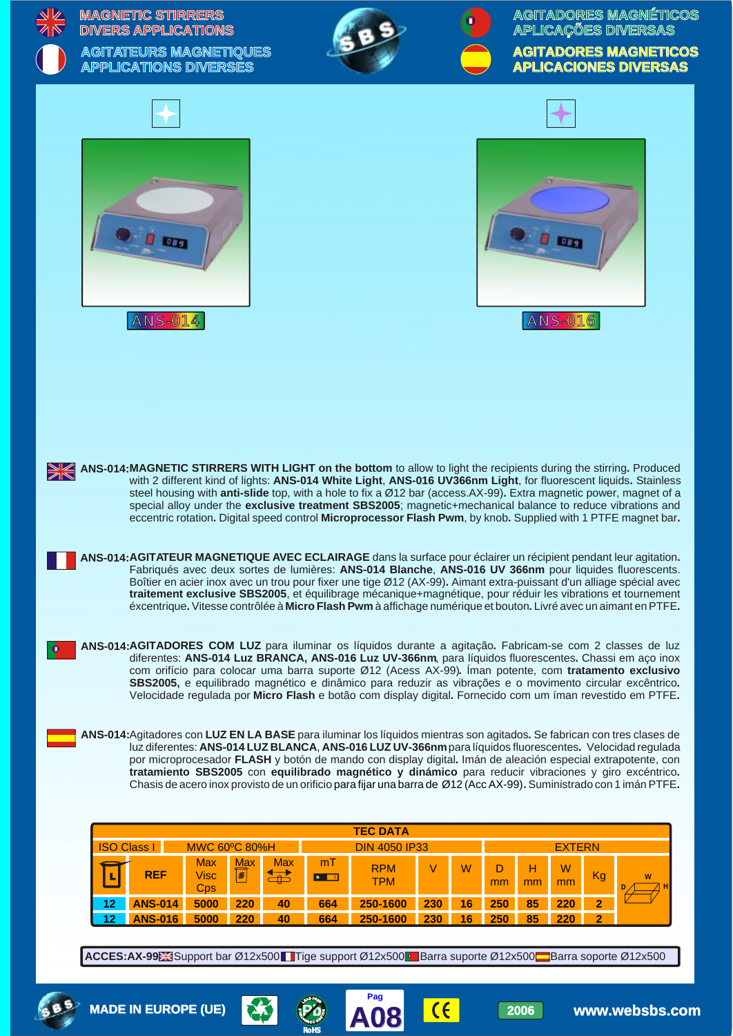|           |          | <b>MAGNETIC STIRRERS</b><br><b>DIVERS APPLICATIONS</b><br><b>AGITATEURS MAGNETIQUES</b><br><b>APPLICATIONS DIVERSES</b> |                                  |                              |                                                                |                                                                                                                                                                                                                                                                                                                                                                                                                                                                                                                                                                                                                                                                                                                                                                                                                                                                                                                                                                                                                                                                                                                                                                              |            |                        | APLICAÇÕES DIVERSAS    |                               | AGITADORES MAGNÉTICOS<br><b>AGITADORES MAGNETICOS</b><br><b>APLICACIONES DIVERSAS</b> |
|-----------|----------|-------------------------------------------------------------------------------------------------------------------------|----------------------------------|------------------------------|----------------------------------------------------------------|------------------------------------------------------------------------------------------------------------------------------------------------------------------------------------------------------------------------------------------------------------------------------------------------------------------------------------------------------------------------------------------------------------------------------------------------------------------------------------------------------------------------------------------------------------------------------------------------------------------------------------------------------------------------------------------------------------------------------------------------------------------------------------------------------------------------------------------------------------------------------------------------------------------------------------------------------------------------------------------------------------------------------------------------------------------------------------------------------------------------------------------------------------------------------|------------|------------------------|------------------------|-------------------------------|---------------------------------------------------------------------------------------|
|           |          | 089<br><b>ANS-014</b>                                                                                                   |                                  |                              |                                                                |                                                                                                                                                                                                                                                                                                                                                                                                                                                                                                                                                                                                                                                                                                                                                                                                                                                                                                                                                                                                                                                                                                                                                                              |            |                        | <b>ANS-016</b>         |                               |                                                                                       |
| <b>NK</b> |          |                                                                                                                         |                                  |                              |                                                                | ANS-014:MAGNETIC STIRRERS WITH LIGHT on the bottom to allow to light the recipients during the stirring. Produced<br>with 2 different kind of lights: ANS-014 White Light, ANS-016 UV366nm Light, for fluorescent liquids. Stainless<br>steel housing with anti-slide top, with a hole to fix a Ø12 bar (access.AX-99). Extra magnetic power, magnet of a<br>special alloy under the exclusive treatment SBS2005; magnetic+mechanical balance to reduce vibrations and<br>eccentric rotation. Digital speed control Microprocessor Flash Pwm, by knob. Supplied with 1 PTFE magnet bar.<br>ANS-014: AGITATEUR MAGNETIQUE AVEC ECLAIRAGE dans la surface pour éclairer un récipient pendant leur agitation.<br>Fabriqués avec deux sortes de lumières: ANS-014 Blanche, ANS-016 UV 366nm pour liquides fluorescents.<br>Boîtier en acier inox avec un trou pour fixer une tige Ø12 (AX-99). Aimant extra-puissant d'un alliage spécial avec<br>traitement exclusive SBS2005, et équilibrage mécanique+magnétique, pour réduir les vibrations et tournement<br>éxcentrique. Vitesse contrôlée à Micro Flash Pwm à affichage numérique et bouton. Livré avec un aimant en PTFE. |            |                        |                        |                               |                                                                                       |
|           |          |                                                                                                                         |                                  |                              |                                                                | ANS-014:AGITADORES COM LUZ para iluminar os líquidos durante a agitação. Fabricam-se com 2 classes de luz<br>diferentes: ANS-014 Luz BRANCA, ANS-016 Luz UV-366nm, para líquidos fluorescentes. Chassi em aço inox<br>com orifício para colocar uma barra suporte Ø12 (Acess AX-99). Iman potente, com tratamento exclusivo<br>SBS2005, e equilibrado magnético e dinâmico para reduzir as vibrações e o movimento circular excêntrico.<br>Velocidade regulada por Micro Flash e botão com display digital. Fornecido com um íman revestido em PTFE.<br>ANS-014: Agitadores con LUZ EN LA BASE para iluminar los líquidos mientras son agitados. Se fabrican con tres clases de                                                                                                                                                                                                                                                                                                                                                                                                                                                                                              |            |                        |                        |                               |                                                                                       |
|           |          |                                                                                                                         |                                  |                              |                                                                | luz diferentes: ANS-014 LUZ BLANCA, ANS-016 LUZ UV-366nm para líquidos fluorescentes. Velocidad regulada<br>por microprocesador FLASH y botón de mando con display digital. Imán de aleación especial extrapotente, con<br>tratamiento SBS2005 con equilibrado magnético y dinámico para reducir vibraciones y giro excéntrico.<br>Chasis de acero inox provisto de un orificio para fijar una barra de Ø12 (Acc AX-99). Suministrado con 1 imán PTFE.                                                                                                                                                                                                                                                                                                                                                                                                                                                                                                                                                                                                                                                                                                                       |            |                        |                        |                               |                                                                                       |
|           |          |                                                                                                                         |                                  |                              |                                                                | <b>TEC DATA</b>                                                                                                                                                                                                                                                                                                                                                                                                                                                                                                                                                                                                                                                                                                                                                                                                                                                                                                                                                                                                                                                                                                                                                              |            |                        |                        |                               |                                                                                       |
|           |          | <b>ISO Class I</b>                                                                                                      |                                  | <b>MWC 60°C 80%H</b>         |                                                                | <b>DIN 4050 IP33</b>                                                                                                                                                                                                                                                                                                                                                                                                                                                                                                                                                                                                                                                                                                                                                                                                                                                                                                                                                                                                                                                                                                                                                         |            |                        | <b>EXTERN</b>          |                               |                                                                                       |
|           |          | <b>REF</b>                                                                                                              | <b>Max</b><br><b>Visc</b><br>Cps | <b>Max</b><br>$ \mathbf{z} $ | <b>Max</b><br>mT<br>$\overleftrightarrow{d}$<br>N <sub>S</sub> | <b>RPM</b><br><b>TPM</b>                                                                                                                                                                                                                                                                                                                                                                                                                                                                                                                                                                                                                                                                                                                                                                                                                                                                                                                                                                                                                                                                                                                                                     | V          | W<br>D<br>mm           | н<br>W<br>mm<br>mm     | Kg                            |                                                                                       |
|           | 12<br>12 | <b>ANS-014</b><br><b>ANS-016</b>                                                                                        | 5000<br>5000                     | 220<br>220                   | 664<br>40<br>40<br>664                                         | 250-1600<br>250-1600                                                                                                                                                                                                                                                                                                                                                                                                                                                                                                                                                                                                                                                                                                                                                                                                                                                                                                                                                                                                                                                                                                                                                         | 230<br>230 | 16<br>250<br>16<br>250 | 85<br>220<br>85<br>220 | $\overline{2}$<br>$\mathbf 2$ |                                                                                       |
|           |          |                                                                                                                         |                                  |                              |                                                                | ACCES:AX-99 Support bar Ø12x500 Tige support Ø12x500 Barra suporte Ø12x500 Barra soporte Ø12x500                                                                                                                                                                                                                                                                                                                                                                                                                                                                                                                                                                                                                                                                                                                                                                                                                                                                                                                                                                                                                                                                             |            |                        |                        |                               |                                                                                       |
|           |          | <b>MADE IN EUROPE (UE)</b>                                                                                              |                                  |                              |                                                                | Pag<br>Λ ΛΩ                                                                                                                                                                                                                                                                                                                                                                                                                                                                                                                                                                                                                                                                                                                                                                                                                                                                                                                                                                                                                                                                                                                                                                  | $\epsilon$ |                        | 2006                   |                               | www.websbs.com                                                                        |



 $\left( \frac{\partial}{\partial \theta} \right)$ 

**RoHS**

**A08 Pag**